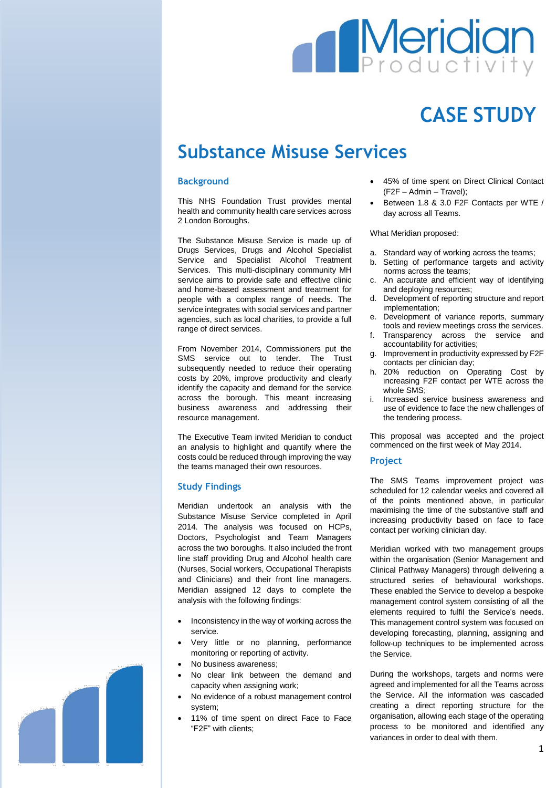# **Meridian**

## **CASE STUDY**

### **Substance Misuse Services**

#### **Background**

This NHS Foundation Trust provides mental health and community health care services across 2 London Boroughs.

The Substance Misuse Service is made up of Drugs Services, Drugs and Alcohol Specialist Service and Specialist Alcohol Treatment Services. This multi-disciplinary community MH service aims to provide safe and effective clinic and home-based assessment and treatment for people with a complex range of needs. The service integrates with social services and partner agencies, such as local charities, to provide a full range of direct services.

From November 2014, Commissioners put the SMS service out to tender. The Trust subsequently needed to reduce their operating costs by 20%, improve productivity and clearly identify the capacity and demand for the service across the borough. This meant increasing business awareness and addressing their resource management.

The Executive Team invited Meridian to conduct an analysis to highlight and quantify where the costs could be reduced through improving the way the teams managed their own resources.

#### **Study Findings**

Meridian undertook an analysis with the Substance Misuse Service completed in April 2014. The analysis was focused on HCPs, Doctors, Psychologist and Team Managers across the two boroughs. It also included the front line staff providing Drug and Alcohol health care (Nurses, Social workers, Occupational Therapists and Clinicians) and their front line managers. Meridian assigned 12 days to complete the analysis with the following findings:

- Inconsistency in the way of working across the service.
- Very little or no planning, performance monitoring or reporting of activity.
- No business awareness;
- No clear link between the demand and capacity when assigning work;
- No evidence of a robust management control system;
- 11% of time spent on direct Face to Face "F2F" with clients;
- 45% of time spent on Direct Clinical Contact (F2F – Admin – Travel);
- Between 1.8 & 3.0 F2F Contacts per WTE / day across all Teams.

What Meridian proposed:

- a. Standard way of working across the teams;
- b. Setting of performance targets and activity norms across the teams;
- An accurate and efficient way of identifying and deploying resources;
- Development of reporting structure and report implementation;
- Development of variance reports, summary tools and review meetings cross the services.
- Transparency across the service and accountability for activities;
- Improvement in productivity expressed by F2F contacts per clinician day;
- h. 20% reduction on Operating Cost by increasing F2F contact per WTE across the whole SMS;
- i. Increased service business awareness and use of evidence to face the new challenges of the tendering process.

This proposal was accepted and the project commenced on the first week of May 2014.

#### **Project**

The SMS Teams improvement project was scheduled for 12 calendar weeks and covered all of the points mentioned above, in particular maximising the time of the substantive staff and increasing productivity based on face to face contact per working clinician day.

Meridian worked with two management groups within the organisation (Senior Management and Clinical Pathway Managers) through delivering a structured series of behavioural workshops. These enabled the Service to develop a bespoke management control system consisting of all the elements required to fulfil the Service's needs. This management control system was focused on developing forecasting, planning, assigning and follow-up techniques to be implemented across the Service.

During the workshops, targets and norms were agreed and implemented for all the Teams across the Service. All the information was cascaded creating a direct reporting structure for the organisation, allowing each stage of the operating process to be monitored and identified any variances in order to deal with them.

1